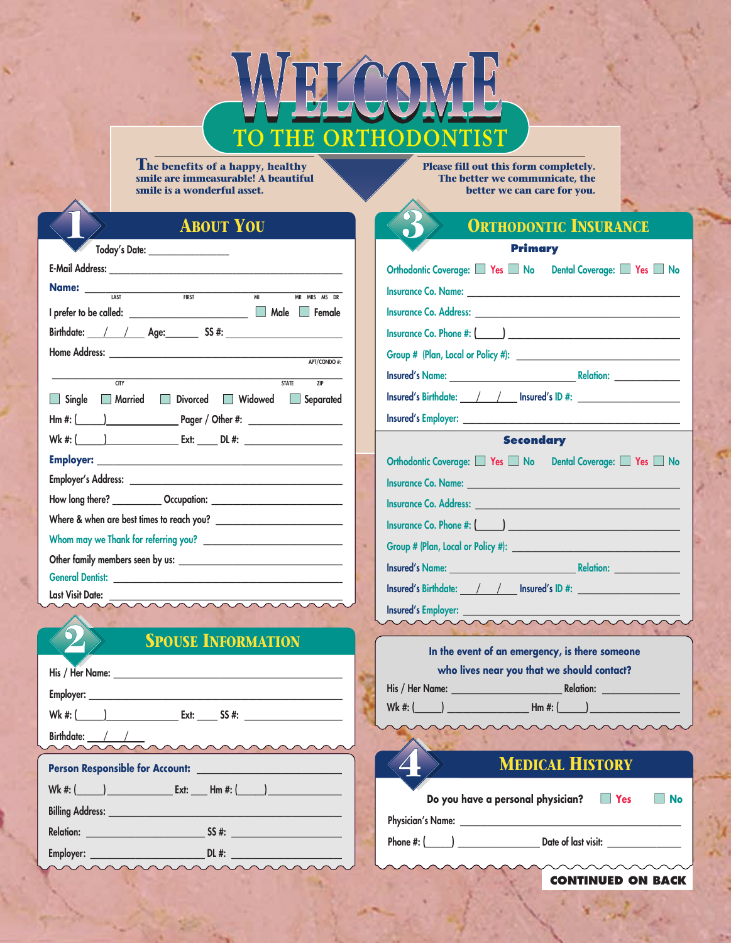# TO THE ORTHODONTIST

**The benefits of a happy, healthy smile are immeasurable! A beautiful smile is a wonderful asset.**

**Please fill out this form completely. The better we communicate, the better we can care for you.**

## **ABOUT YOU**

| Today's Date: _________________                   |
|---------------------------------------------------|
|                                                   |
| <b>Name:</b> <u>LAST FIRST</u><br>MI MR MRS MS DR |
|                                                   |
|                                                   |
|                                                   |
| APT/CONDO#:                                       |
| <b>STATE</b><br>CTY<br>$\overline{ZIP}$           |
| Single Married Divorced Widowed Separated         |
|                                                   |
|                                                   |
|                                                   |
|                                                   |
|                                                   |
|                                                   |
|                                                   |
|                                                   |
|                                                   |
|                                                   |

**Last Visit Date:** 

# **SPOUSE INFORMATION**

| Birthdate: $\frac{1}{2}$ |
|--------------------------|
|                          |
|                          |
|                          |
|                          |
|                          |
|                          |

| <b>ORTHODONTIC INSURANCE</b>                                                                                                                                                                                                   |  |  |  |  |  |
|--------------------------------------------------------------------------------------------------------------------------------------------------------------------------------------------------------------------------------|--|--|--|--|--|
| <b>Primary</b>                                                                                                                                                                                                                 |  |  |  |  |  |
| Orthodontic Coverage: Yes No Dental Coverage: Yes No                                                                                                                                                                           |  |  |  |  |  |
|                                                                                                                                                                                                                                |  |  |  |  |  |
|                                                                                                                                                                                                                                |  |  |  |  |  |
|                                                                                                                                                                                                                                |  |  |  |  |  |
|                                                                                                                                                                                                                                |  |  |  |  |  |
|                                                                                                                                                                                                                                |  |  |  |  |  |
| Insured's Birthdate: //// Insured's ID #:                                                                                                                                                                                      |  |  |  |  |  |
|                                                                                                                                                                                                                                |  |  |  |  |  |
| <b>Secondary</b>                                                                                                                                                                                                               |  |  |  |  |  |
| Orthodontic Coverage: Yes No Dental Coverage: Yes No                                                                                                                                                                           |  |  |  |  |  |
| Insurance Co. Name: University of the Contract of the Contract of the Contract of the Contract of the Contract of the Contract of the Contract of the Contract of the Contract of the Contract of the Contract of the Contract |  |  |  |  |  |
|                                                                                                                                                                                                                                |  |  |  |  |  |
|                                                                                                                                                                                                                                |  |  |  |  |  |
|                                                                                                                                                                                                                                |  |  |  |  |  |
|                                                                                                                                                                                                                                |  |  |  |  |  |
| Insured's Birthdate: / / / Insured's ID #:                                                                                                                                                                                     |  |  |  |  |  |
| Insured's Employer:                                                                                                                                                                                                            |  |  |  |  |  |
|                                                                                                                                                                                                                                |  |  |  |  |  |
| In the event of an emergency, is there someone                                                                                                                                                                                 |  |  |  |  |  |
| who lives near you that we should contact?                                                                                                                                                                                     |  |  |  |  |  |
|                                                                                                                                                                                                                                |  |  |  |  |  |
|                                                                                                                                                                                                                                |  |  |  |  |  |

**CONTINUED ON BACK**

**MEDICAL HISTORY**

**Do you have a personal physician?** ■ **Yes** ■ **No**

**Physician's Name: \_\_\_\_\_\_\_\_\_\_\_\_\_\_\_\_\_\_\_\_\_\_\_\_\_\_\_\_\_\_\_\_\_\_\_\_\_\_\_\_\_\_\_\_\_\_\_\_\_\_\_\_\_\_**

**Phone #: (\_\_\_\_\_\_) \_\_\_\_\_\_\_\_\_\_\_\_\_\_\_\_\_\_\_\_ Date of last visit: \_\_\_\_\_\_\_\_\_\_\_\_\_\_\_\_\_\_**